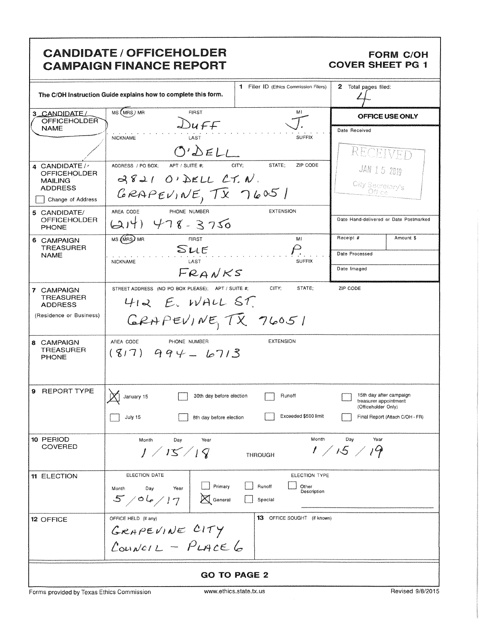|                                                                                                         | <b>CANDIDATE / OFFICEHOLDER</b><br><b>CAMPAIGN FINANCE REPORT</b>                                                          |                                                     |                                    |                                       |                    | <b>FORM C/OH</b><br><b>COVER SHEET PG 1</b>                                                                |
|---------------------------------------------------------------------------------------------------------|----------------------------------------------------------------------------------------------------------------------------|-----------------------------------------------------|------------------------------------|---------------------------------------|--------------------|------------------------------------------------------------------------------------------------------------|
| 1 Filer ID (Ethics Commission Filers)<br>The C/OH Instruction Guide explains how to complete this form. |                                                                                                                            |                                                     | 2 Total pages filed:               |                                       |                    |                                                                                                            |
| 3 CANDIDATE/<br><b>OFFICEHOLDER</b>                                                                     | MS (MRS) MR<br><b>FIRST</b>                                                                                                |                                                     |                                    | MI                                    |                    | <b>OFFICE USE ONLY</b>                                                                                     |
| <b>NAME</b>                                                                                             |                                                                                                                            | Duff                                                |                                    | <b>SUFFIX</b>                         | Date Received      |                                                                                                            |
| 4 CANDIDATE /<br><b>OFFICEHOLDER</b><br><b>MAILING</b><br><b>ADDRESS</b>                                | <b>NICKNAME</b><br>LAST<br>ADDRESS / PO BOX:<br>APT / SUITE #:<br>$3821$ O'DELL CT. N.<br>GRAPEVINE, $\overline{1}x$ 7605/ | $O^{\prime}$ $\Delta$ ELL<br>CITY:                  | STATE;                             | ZIP CODE                              |                    | RECEIVE<br>JAN 15 2019<br>City Secretary's<br>Öffice"                                                      |
| Change of Address<br>5 CANDIDATE/<br><b>OFFICEHOLDER</b><br><b>PHONE</b>                                | AREA CODE<br>PHONE NUMBER<br>$(214)$ 478-3750                                                                              |                                                     | <b>EXTENSION</b>                   |                                       |                    | Date Hand-delivered or Date Postmarked                                                                     |
| 6 CAMPAIGN<br><b>TREASURER</b>                                                                          | MS (MRS) MR<br><b>FIRST</b>                                                                                                |                                                     |                                    | MI                                    | Receipt #          | Amount \$                                                                                                  |
| <b>NAME</b>                                                                                             | SLE<br>LAST<br><b>NICKNAME</b>                                                                                             |                                                     |                                    | <b>SUFFIX</b>                         | Date Processed     |                                                                                                            |
|                                                                                                         |                                                                                                                            | FRANKS                                              |                                    |                                       | Date Imaged        |                                                                                                            |
| 7 CAMPAIGN<br><b>TREASURER</b><br><b>ADDRESS</b><br>(Residence or Business)                             | STREET ADDRESS (NO PO BOX PLEASE); APT / SUITE #;<br>$412$ E. WALL ST.<br>GRAPEVINETETX 76051                              |                                                     | CITY;                              | STATE:                                | ZIP CODE           |                                                                                                            |
| 8 CAMPAIGN<br><b>TREASURER</b><br><b>PHONE</b>                                                          | AREA CODE<br>PHONE NUMBER<br>$(817)$ 994 - 10713                                                                           |                                                     | <b>EXTENSION</b>                   |                                       |                    |                                                                                                            |
| 9 REPORT TYPE                                                                                           | $\sqrt{2}$<br>$\boxtimes$<br>January 15<br>July 15                                                                         | 30th day before election<br>8th day before election | Runoff                             | Exceeded \$500 limit                  |                    | 15th day after campaign<br>treasurer appointment<br>(Officeholder Only)<br>Final Report (Attach C/OH - FR) |
| 10 PERIOD<br><b>COVERED</b>                                                                             | Month<br>Day<br>1/15/19                                                                                                    | Year                                                | <b>THROUGH</b>                     | Month                                 | Day<br>1 / 15 / 19 | Year                                                                                                       |
| 11 ELECTION                                                                                             | ELECTION DATE<br>Day<br>Year<br>Month<br>5/06/17                                                                           | Primary<br>$\boxtimes$ General                      | Runoff<br>Special                  | ELECTION TYPE<br>Other<br>Description |                    |                                                                                                            |
| 12 OFFICE                                                                                               | OFFICE HELD (if any)<br>GRAPEVINE CITY<br>$L_{\text{our}}/c_{12} - P_{\text{LATE}}$                                        |                                                     | <b>13</b> OFFICE SOUGHT (if known) |                                       |                    |                                                                                                            |
| <b>GO TO PAGE 2</b>                                                                                     |                                                                                                                            |                                                     |                                    |                                       |                    |                                                                                                            |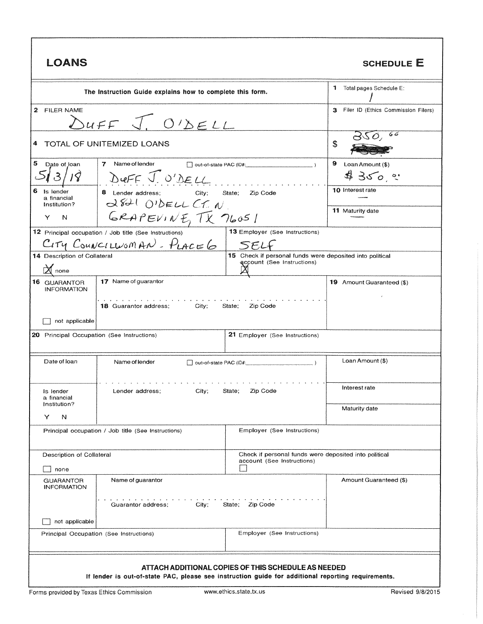| LOANS                                                                                                                                                     | <b>SCHEDULE E</b>                                                                                                      |                                                                                     |                           |  |  |
|-----------------------------------------------------------------------------------------------------------------------------------------------------------|------------------------------------------------------------------------------------------------------------------------|-------------------------------------------------------------------------------------|---------------------------|--|--|
| The Instruction Guide explains how to complete this form.                                                                                                 | 1 Total pages Schedule E:                                                                                              |                                                                                     |                           |  |  |
| 2 FILER NAME<br>$\sum_{U \in F}$ $\overline{J}$ , $O'$ $\sum_{U}$                                                                                         | 3 Filer ID (Ethics Commission Filers)                                                                                  |                                                                                     |                           |  |  |
|                                                                                                                                                           | 4 TOTAL OF UNITEMIZED LOANS                                                                                            | S                                                                                   |                           |  |  |
| 5<br>Date of loan                                                                                                                                         | 7 Name of lender<br>out-of-state PAC (ID#:<br>DUFF J. O'DELL                                                           | 9<br>Loan Amount (\$)<br>4350°                                                      |                           |  |  |
| 6<br>Is lender<br>a financial<br>Institution?                                                                                                             | 8 Lender address;<br>City;<br>2821 OIDELL CT. N                                                                        | State;<br>Zip Code                                                                  | <b>10</b> Interest rate   |  |  |
| Y<br>N                                                                                                                                                    | GRAPEVINE, TX 76051                                                                                                    |                                                                                     | <b>11</b> Maturity date   |  |  |
| 13 Employer (See Instructions)<br>12 Principal occupation / Job title (See Instructions)<br>$C$ <i>ity CouncillusMAN - PLACE</i><br>SELF                  |                                                                                                                        |                                                                                     |                           |  |  |
| $\mathsf{\vec{X}}$ none                                                                                                                                   | 15 Check if personal funds were deposited into political<br>14 Description of Collateral<br>account (See Instructions) |                                                                                     |                           |  |  |
| <b>16 GUARANTOR</b><br><b>INFORMATION</b>                                                                                                                 | 17 Name of guarantor                                                                                                   |                                                                                     | 19 Amount Guaranteed (\$) |  |  |
| City;<br><b>18 Guarantor address;</b><br>State;<br>Zip Code<br>not applicable                                                                             |                                                                                                                        |                                                                                     |                           |  |  |
|                                                                                                                                                           | 20 Principal Occupation (See Instructions)<br>21 Employer (See Instructions)                                           |                                                                                     |                           |  |  |
| Date of loan                                                                                                                                              | Name of lender<br>$\Box$ out-of-state PAC (ID#: $\Box$ )                                                               |                                                                                     | Loan Amount (\$)          |  |  |
| Is lender<br>a financial<br>Institution?                                                                                                                  | City:<br>Lender address;<br>State;<br>Zip Code                                                                         |                                                                                     | Interest rate             |  |  |
| N<br>Y                                                                                                                                                    |                                                                                                                        |                                                                                     | Maturity date             |  |  |
|                                                                                                                                                           | Employer (See Instructions)<br>Principal occupation / Job title (See Instructions)                                     |                                                                                     |                           |  |  |
| Description of Collateral                                                                                                                                 |                                                                                                                        | Check if personal funds were deposited into political<br>account (See Instructions) |                           |  |  |
| none<br><b>GUARANTOR</b><br><b>INFORMATION</b>                                                                                                            | Name of guarantor                                                                                                      |                                                                                     | Amount Guaranteed (\$)    |  |  |
| City;<br>State; Zip Code<br>Guarantor address:                                                                                                            |                                                                                                                        |                                                                                     |                           |  |  |
| not applicable<br>Employer (See Instructions)<br>Principal Occupation (See Instructions)                                                                  |                                                                                                                        |                                                                                     |                           |  |  |
|                                                                                                                                                           |                                                                                                                        |                                                                                     |                           |  |  |
| ATTACH ADDITIONAL COPIES OF THIS SCHEDULE AS NEEDED<br>If lender is out-of-state PAC, please see instruction guide for additional reporting requirements. |                                                                                                                        |                                                                                     |                           |  |  |

J

1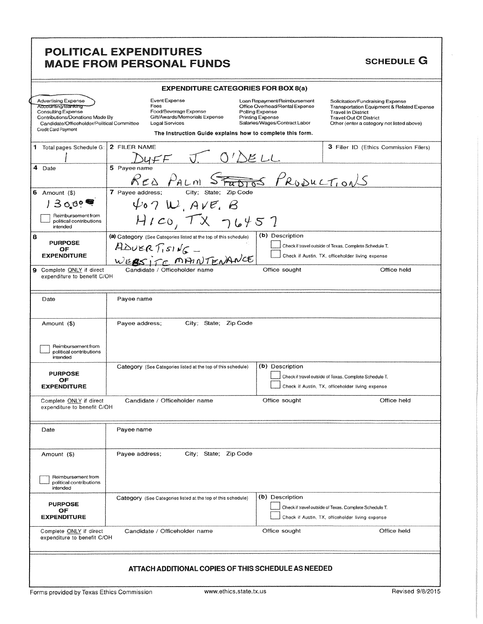## POLITICAL EXPENDITURES MADE FROM PERSONAL FUNDS SCHEDULE G

|   | <b>EXPENDITURE CATEGORIES FOR BOX 8(a)</b>                                                                                                                                            |                                                                                                                                                                |                                                                                                                                                                                                                                                                                                                                     |  |  |
|---|---------------------------------------------------------------------------------------------------------------------------------------------------------------------------------------|----------------------------------------------------------------------------------------------------------------------------------------------------------------|-------------------------------------------------------------------------------------------------------------------------------------------------------------------------------------------------------------------------------------------------------------------------------------------------------------------------------------|--|--|
|   | <b>Advertising Expense</b><br>Accounting/Banking<br><b>Consulting Expense</b><br>Contributions/Donations Made By<br>Candidate/Officeholder/Political Committee<br>Credit Card Payment | Event Expense<br>Fees<br>Food/Beverage Expense<br>Gift/Awards/Memorials Expense<br>Legal Services<br>The Instruction Guide explains how to complete this form. | Loan Repayment/Reimbursement<br>Solicitation/Fundraising Expense<br>Office Overhead/Rental Expense<br>Transportation Equipment & Related Expense<br>Polling Expense<br><b>Travel In District</b><br>Printing Expense<br><b>Travel Out Of District</b><br>Salaries/Wages/Contract Labor<br>Other (enter a category not listed above) |  |  |
|   | 1 Total pages Schedule G:                                                                                                                                                             | 2 FILER NAME<br>$MFF$ $\overline{U}$                                                                                                                           | 3 Filer ID (Ethics Commission Filers)<br>$0^{\prime}$ $\triangle$ ELL                                                                                                                                                                                                                                                               |  |  |
|   | 4 Date                                                                                                                                                                                | 5 Payee name<br>RED PALM<br>$\mathcal{S}_{\mathcal{F}\overline{\boldsymbol{u}}}$                                                                               | <del>MOS</del> PRODUCTIONS                                                                                                                                                                                                                                                                                                          |  |  |
|   | 6 Amount $($ \$)                                                                                                                                                                      | 7 Payee address;<br>City; State; Zip Code                                                                                                                      |                                                                                                                                                                                                                                                                                                                                     |  |  |
|   | 13000                                                                                                                                                                                 | 407 W, AVE, B                                                                                                                                                  |                                                                                                                                                                                                                                                                                                                                     |  |  |
|   | Reimbursement from<br>political contributions<br>intended                                                                                                                             | $H_{ICO}$ , $TX$ $76457$                                                                                                                                       |                                                                                                                                                                                                                                                                                                                                     |  |  |
| 8 | <b>PURPOSE</b><br>OF<br><b>EXPENDITURE</b>                                                                                                                                            | (a) Category (See Categories listed at the top of this schedule)<br>$ADUERT_1S1NG-$                                                                            | (b) Description<br>Check if travel outside of Texas, Complete Schedule T.<br>Check if Austin, TX, officeholder living expense                                                                                                                                                                                                       |  |  |
|   | 9 Complete ONLY if direct<br>expenditure to benefit C/OH                                                                                                                              | WEBSITE MAINTENANCE<br>Candidate / Officeholder name                                                                                                           | Office sought<br>Office held                                                                                                                                                                                                                                                                                                        |  |  |
|   | Date                                                                                                                                                                                  | Payee name                                                                                                                                                     |                                                                                                                                                                                                                                                                                                                                     |  |  |
|   | Amount (\$)<br>Reimbursement from<br>political contributions                                                                                                                          | City; State; Zip Code<br>Payee address;                                                                                                                        |                                                                                                                                                                                                                                                                                                                                     |  |  |
|   | intended                                                                                                                                                                              | Category (See Categories listed at the top of this schedule)                                                                                                   | (b) Description                                                                                                                                                                                                                                                                                                                     |  |  |
|   | <b>PURPOSE</b><br>ОF<br><b>EXPENDITURE</b>                                                                                                                                            |                                                                                                                                                                | Check if travel outside of Texas. Complete Schedule T.<br>Check if Austin, TX, officeholder living expense                                                                                                                                                                                                                          |  |  |
|   | Candidate / Officeholder name<br>Office sought<br>Office held<br>Complete ONLY if direct<br>expenditure to benefit C/OH                                                               |                                                                                                                                                                |                                                                                                                                                                                                                                                                                                                                     |  |  |
|   | Date                                                                                                                                                                                  | Payee name                                                                                                                                                     |                                                                                                                                                                                                                                                                                                                                     |  |  |
|   | Amount (\$)<br>Reimbursement from<br>political contributions<br>intended                                                                                                              | City; State; Zip Code<br>Payee address;                                                                                                                        |                                                                                                                                                                                                                                                                                                                                     |  |  |
|   | <b>PURPOSE</b><br>OF<br><b>EXPENDITURE</b>                                                                                                                                            | Category (See Categories listed at the top of this schedule)                                                                                                   | (b) Description<br>Check if travel outside of Texas. Complete Schedule T.<br>Check if Austin, TX, officeholder living expense                                                                                                                                                                                                       |  |  |
|   | Office held<br>Office sought<br>Complete ONLY if direct<br>Candidate / Officeholder name<br>expenditure to benefit C/OH                                                               |                                                                                                                                                                |                                                                                                                                                                                                                                                                                                                                     |  |  |
|   | ATTACH ADDITIONAL COPIES OF THIS SCHEDULE AS NEEDED                                                                                                                                   |                                                                                                                                                                |                                                                                                                                                                                                                                                                                                                                     |  |  |
|   | www.ethics.state.tx.us<br>Revised 9/8/2015<br>Forms provided by Texas Ethics Commission                                                                                               |                                                                                                                                                                |                                                                                                                                                                                                                                                                                                                                     |  |  |